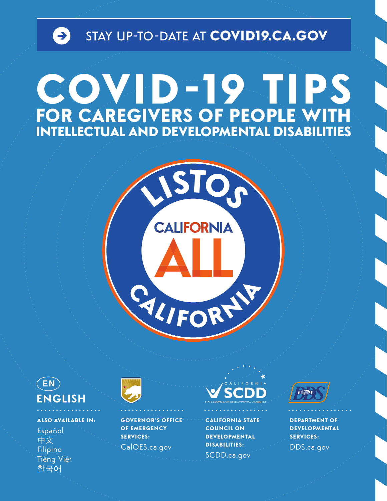

## COVID-19 TIPS FOR CAREGIVERS OF PEOPLE WITH





**ALSO AVAILABLE IN:** Español 中文 Filipino Tiếng Việt 한국어



**GOVERNOR'S OFFICE OF EMERGENCY SERVICES:** CalOES.ca.gov



**CALIFORNIA STATE COUNCIL ON DEVELOPMENTAL DISABILITIES:** SCDD.ca.gov



**DEPARTMENT OF DEVELOPMENTAL SERVICES:** DDS.ca.gov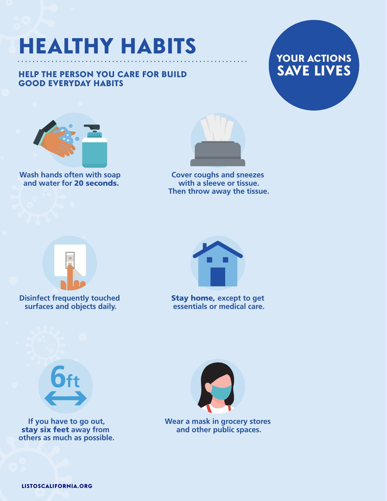### HEALTHY HABITS

#### HELP THE PERSON YOU CARE FOR BUILD GOOD EVERYDAY HABITS





**Wash hands often with soap and water for** 20 seconds.



**Cover coughs and sneezes with a sleeve or tissue. Then throw away the tissue.** 



**Disinfect frequently touched surfaces and objects daily.** 



Stay home, **except to get essentials or medical care.** 



**If you have to go out,**  stay six feet **away from others as much as possible.** 



**Wear a mask in grocery stores and other public spaces.**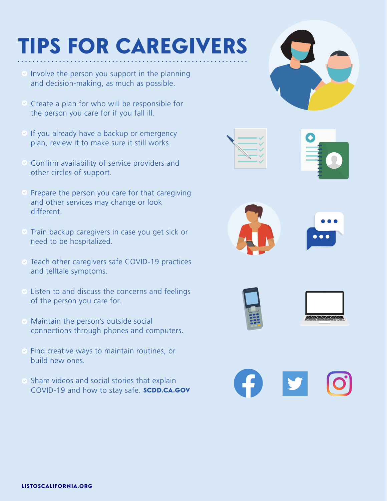## TIPS FOR CAREGIVERS

- $\Diamond$  Involve the person you support in the planning and decision-making, as much as possible.
- $\heartsuit$  Create a plan for who will be responsible for the person you care for if you fall ill.
- $\vee$  If you already have a backup or emergency plan, review it to make sure it still works.
- $\odot$  Confirm availability of service providers and other circles of support.
- $\heartsuit$  Prepare the person you care for that caregiving and other services may change or look different.
- $\heartsuit$  Train backup caregivers in case you get sick or need to be hospitalized.
- Teach other caregivers safe COVID-19 practices and telltale symptoms.
- $\heartsuit$  Listen to and discuss the concerns and feelings of the person you care for.
- **⊘** Maintain the person's outside social connections through phones and computers.
- $\bullet$  Find creative ways to maintain routines, or build new ones.
- $\bullet$  Share videos and social stories that explain COVID-19 and how to stay safe. [SCDD.CA.GOV](https://SCDD.CA.GOV)













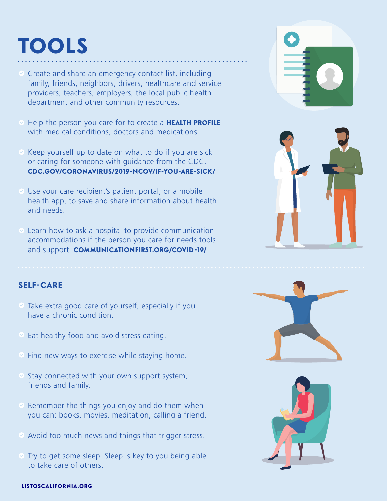### TOOLS

- $\heartsuit$  Create and share an emergency contact list, including family, friends, neighbors, drivers, healthcare and service providers, teachers, employers, the local public health department and other community resources.
- Help the person you care for to create a HEALTH PROFILE with medical conditions, doctors and medications.
- $\heartsuit$  Keep yourself up to date on what to do if you are sick or caring for someone with guidance from the CDC. CDC.GOV/CORONAVIRUS/2019-NCOV/IF-YOU-ARE-SICK/
- $\vee$  Use your care recipient's patient portal, or a mobile health app, to save and share information about health and needs.
- $\odot$  Learn how to ask a hospital to provide communication accommodations if the person you care for needs tools and support. COMMUNICATIONFIRST.ORG/COVID-19/

#### **SELF-CARE**

- $\bullet$  Take extra good care of yourself, especially if you have a chronic condition.
- $\heartsuit$  Eat healthy food and avoid stress eating.
- $\heartsuit$  Find new ways to exercise while staying home.
- $\bullet$  Stay connected with your own support system, friends and family.
- $\heartsuit$  Remember the things you enjoy and do them when you can: books, movies, meditation, calling a friend.
- $\bullet$  Avoid too much news and things that trigger stress.
- $\heartsuit$  Try to get some sleep. Sleep is key to you being able to take care of others.









#### [LISTOSCALIFORNIA.ORG](https://LISTOSCALIFORNIA.ORG)